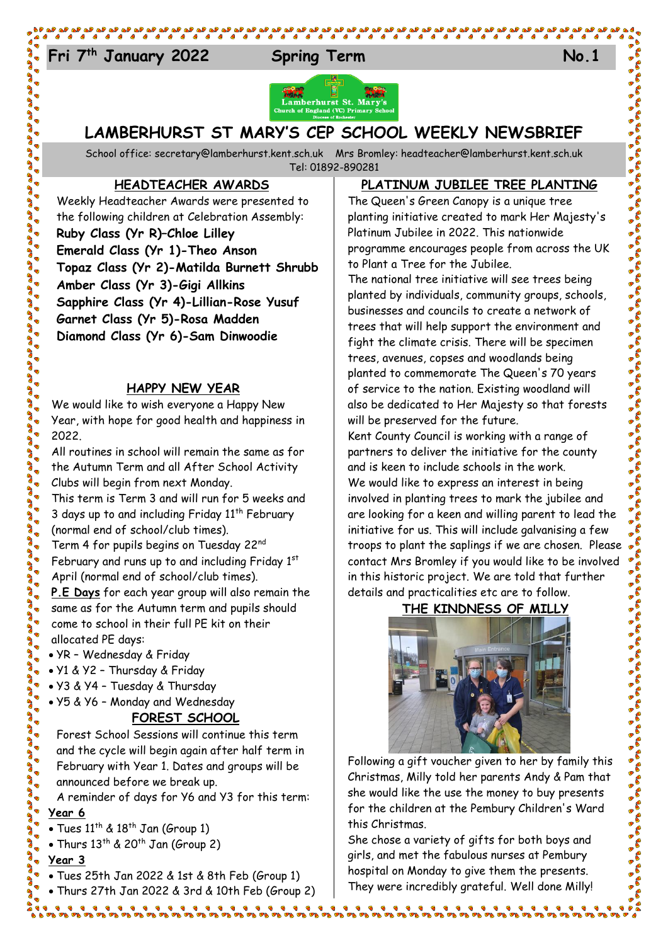## Fri<sup>7<sup>th</sup> January 2022 Spring Term No.1</sup>



### **LAMBERHURST ST MARY'S CEP SCHOOL WEEKLY NEWSBRIEF**

School office: [secretary@lamberhurst.kent.sch.uk](mailto:secretary@lamberhurst.kent.sch.uk) Mrs Bromley: headteacher@lamberhurst.kent.sch.uk Tel: 01892-890281

**HEADTEACHER AWARDS**

Weekly Headteacher Awards were presented to the following children at Celebration Assembly: **Ruby Class (Yr R)–Chloe Lilley Emerald Class (Yr 1)-Theo Anson Topaz Class (Yr 2)-Matilda Burnett Shrubb Amber Class (Yr 3)-Gigi Allkins Sapphire Class (Yr 4)-Lillian-Rose Yusuf Garnet Class (Yr 5)-Rosa Madden Diamond Class (Yr 6)-Sam Dinwoodie**

#### **HAPPY NEW YEAR**

We would like to wish everyone a Happy New Year, with hope for good health and happiness in 2022.

All routines in school will remain the same as for the Autumn Term and all After School Activity Clubs will begin from next Monday.

This term is Term 3 and will run for 5 weeks and 3 days up to and including Friday  $11<sup>th</sup>$  February (normal end of school/club times).

Term 4 for pupils begins on Tuesday 22nd

February and runs up to and including Friday 1st April (normal end of school/club times).

**P.E Days** for each year group will also remain the same as for the Autumn term and pupils should come to school in their full PE kit on their allocated PE days:

- YR Wednesday & Friday
- Y1 & Y2 Thursday & Friday
- Y3 & Y4 Tuesday & Thursday
- Y5 & Y6 Monday and Wednesday

#### **FOREST SCHOOL**

Forest School Sessions will continue this term and the cycle will begin again after half term in February with Year 1. Dates and groups will be announced before we break up.

A reminder of days for Y6 and Y3 for this term:

#### **Year 6**

• Tues  $11^{th}$  &  $18^{th}$  Jan (Group 1)

• Thurs  $13^{th}$  &  $20^{th}$  Jan (Group 2)

#### **Year 3**

- Tues 25th Jan 2022 & 1st & 8th Feb (Group 1)
- Thurs 27th Jan 2022 & 3rd & 10th Feb (Group 2)

<u> 1111111111111111111</u>

#### **PLATINUM JUBILEE TREE PLANTING**

The Queen's Green Canopy is a unique tree planting initiative created to mark Her Majesty's Platinum Jubilee in 2022. This nationwide programme encourages people from across the UK to Plant a Tree for the Jubilee.

The national tree initiative will see trees being planted by individuals, community groups, schools, businesses and councils to create a network of trees that will help support the environment and fight the climate crisis. There will be specimen trees, avenues, copses and woodlands being planted to commemorate The Queen's 70 years of service to the nation. Existing woodland will also be dedicated to Her Majesty so that forests will be preserved for the future.

Kent County Council is working with a range of partners to deliver the initiative for the county and is keen to include schools in the work. We would like to express an interest in being involved in planting trees to mark the jubilee and are looking for a keen and willing parent to lead the initiative for us. This will include galvanising a few troops to plant the saplings if we are chosen. Please contact Mrs Bromley if you would like to be involved in this historic project. We are told that further details and practicalities etc are to follow.

**THE KINDNESS OF MILLY**



Following a gift voucher given to her by family this Christmas, Milly told her parents Andy & Pam that she would like the use the money to buy presents for the children at the Pembury Children's Ward this Christmas.

She chose a variety of gifts for both boys and girls, and met the fabulous nurses at Pembury hospital on Monday to give them the presents. They were incredibly grateful. Well done Milly!

. . . . . . . . . . . . . . . .